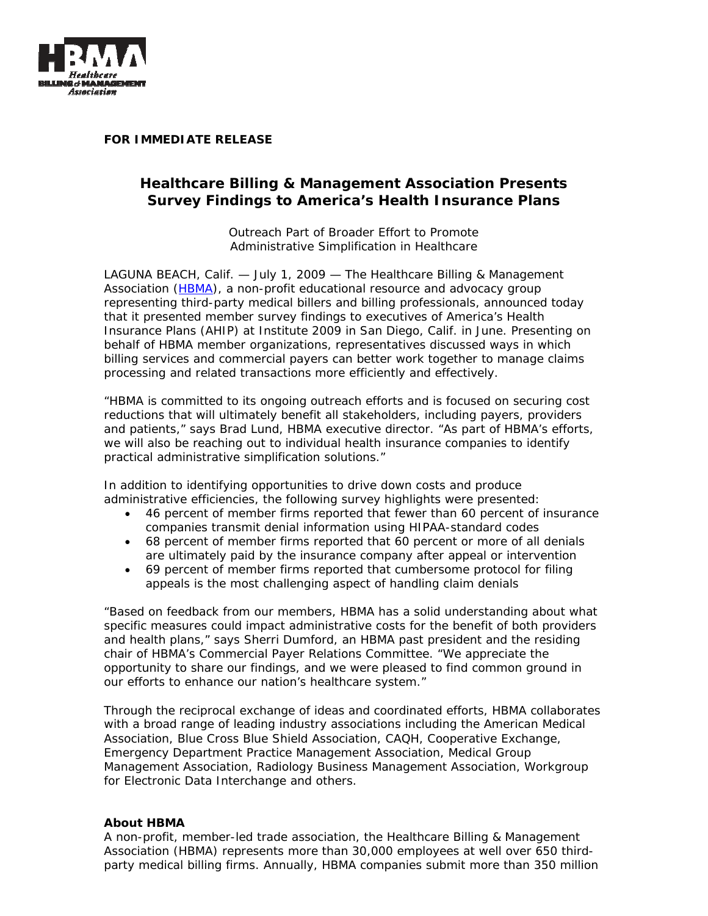

**FOR IMMEDIATE RELEASE** 

## **Healthcare Billing & Management Association Presents Survey Findings to America's Health Insurance Plans**

*Outreach Part of Broader Effort to Promote Administrative Simplification in Healthcare* 

LAGUNA BEACH, Calif. — July 1, 2009 — The Healthcare Billing & Management Association (HBMA), a non-profit educational resource and advocacy group representing third-party medical billers and billing professionals, announced today that it presented member survey findings to executives of America's Health Insurance Plans (AHIP) at Institute 2009 in San Diego, Calif. in June. Presenting on behalf of HBMA member organizations, representatives discussed ways in which billing services and commercial payers can better work together to manage claims processing and related transactions more efficiently and effectively.

"HBMA is committed to its ongoing outreach efforts and is focused on securing cost reductions that will ultimately benefit all stakeholders, including payers, providers and patients," says Brad Lund, HBMA executive director. "As part of HBMA's efforts, we will also be reaching out to individual health insurance companies to identify practical administrative simplification solutions."

In addition to identifying opportunities to drive down costs and produce administrative efficiencies, the following survey highlights were presented:

- 46 percent of member firms reported that fewer than 60 percent of insurance companies transmit denial information using HIPAA-standard codes
- 68 percent of member firms reported that 60 percent or more of all denials are ultimately paid by the insurance company after appeal or intervention
- 69 percent of member firms reported that cumbersome protocol for filing appeals is the most challenging aspect of handling claim denials

"Based on feedback from our members, HBMA has a solid understanding about what specific measures could impact administrative costs for the benefit of both providers and health plans," says Sherri Dumford, an HBMA past president and the residing chair of HBMA's Commercial Payer Relations Committee. "We appreciate the opportunity to share our findings, and we were pleased to find common ground in our efforts to enhance our nation's healthcare system."

Through the reciprocal exchange of ideas and coordinated efforts, HBMA collaborates with a broad range of leading industry associations including the American Medical Association, Blue Cross Blue Shield Association, CAQH, Cooperative Exchange, Emergency Department Practice Management Association, Medical Group Management Association, Radiology Business Management Association, Workgroup for Electronic Data Interchange and others.

## **About HBMA**

A non-profit, member-led trade association, the Healthcare Billing & Management Association (HBMA) represents more than 30,000 employees at well over 650 thirdparty medical billing firms. Annually, HBMA companies submit more than 350 million